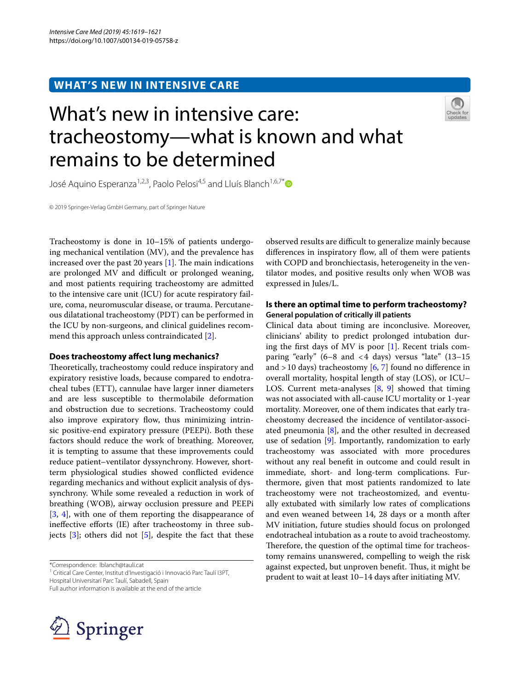# **WHAT'S NEW IN INTENSIVE CARE**



# What's new in intensive care: tracheostomy—what is known and what remains to be determined

José Aquino Esperanza<sup>1,2,3</sup>, Paolo Pelosi<sup>4,5</sup> and Lluís Blanch<sup>1,6,7[\\*](http://orcid.org/0000-0002-4158-7464)</sup>

© 2019 Springer-Verlag GmbH Germany, part of Springer Nature

Tracheostomy is done in 10–15% of patients undergoing mechanical ventilation (MV), and the prevalence has increased over the past 20 years  $[1]$  $[1]$ . The main indications are prolonged MV and difficult or prolonged weaning, and most patients requiring tracheostomy are admitted to the intensive care unit (ICU) for acute respiratory failure, coma, neuromuscular disease, or trauma. Percutaneous dilatational tracheostomy (PDT) can be performed in the ICU by non-surgeons, and clinical guidelines recommend this approach unless contraindicated [[2\]](#page-2-1).

# **Does tracheostomy afect lung mechanics?**

Theoretically, tracheostomy could reduce inspiratory and expiratory resistive loads, because compared to endotracheal tubes (ETT), cannulae have larger inner diameters and are less susceptible to thermolabile deformation and obstruction due to secretions. Tracheostomy could also improve expiratory flow, thus minimizing intrinsic positive-end expiratory pressure (PEEPi). Both these factors should reduce the work of breathing. Moreover, it is tempting to assume that these improvements could reduce patient–ventilator dyssynchrony. However, shortterm physiological studies showed conficted evidence regarding mechanics and without explicit analysis of dyssynchrony. While some revealed a reduction in work of breathing (WOB), airway occlusion pressure and PEEPi [[3,](#page-2-2) [4\]](#page-2-3), with one of them reporting the disappearance of inefective eforts (IE) after tracheostomy in three subjects  $[3]$  $[3]$ ; others did not  $[5]$ , despite the fact that these

\*Correspondence: lblanch@tauli.cat

<sup>1</sup> Critical Care Center, Institut d'Investigació i Innovació Parc Taulí I3PT,

Hospital Universitarí Parc Taulí, Sabadell, Spain

Full author information is available at the end of the article



observed results are difficult to generalize mainly because differences in inspiratory flow, all of them were patients with COPD and bronchiectasis, heterogeneity in the ventilator modes, and positive results only when WOB was expressed in Jules/L.

# **Is there an optimal time to perform tracheostomy? General population of critically ill patients**

Clinical data about timing are inconclusive. Moreover, clinicians' ability to predict prolonged intubation during the frst days of MV is poor [\[1](#page-2-0)]. Recent trials comparing "early"  $(6-8$  and  $< 4$  days) versus "late"  $(13-15)$ and  $>$  10 days) tracheostomy [\[6,](#page-2-5) [7\]](#page-2-6) found no difference in overall mortality, hospital length of stay (LOS), or ICU– LOS. Current meta-analyses [[8,](#page-2-7) [9](#page-2-8)] showed that timing was not associated with all-cause ICU mortality or 1-year mortality. Moreover, one of them indicates that early tracheostomy decreased the incidence of ventilator-associated pneumonia  $[8]$  $[8]$ , and the other resulted in decreased use of sedation [[9\]](#page-2-8). Importantly, randomization to early tracheostomy was associated with more procedures without any real beneft in outcome and could result in immediate, short- and long-term complications. Furthermore, given that most patients randomized to late tracheostomy were not tracheostomized, and eventually extubated with similarly low rates of complications and even weaned between 14, 28 days or a month after MV initiation, future studies should focus on prolonged endotracheal intubation as a route to avoid tracheostomy. Therefore, the question of the optimal time for tracheostomy remains unanswered, compelling to weigh the risk against expected, but unproven benefit. Thus, it might be prudent to wait at least 10–14 days after initiating MV.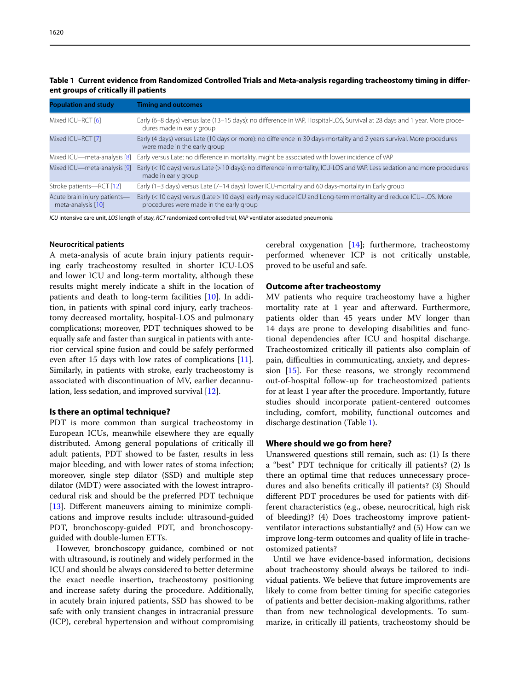| <b>Population and study</b>                        | <b>Timing and outcomes</b>                                                                                                                                  |
|----------------------------------------------------|-------------------------------------------------------------------------------------------------------------------------------------------------------------|
| Mixed ICU-RCT [6]                                  | Early (6–8 days) versus late (13–15 days): no difference in VAP, Hospital-LOS, Survival at 28 days and 1 year. More proce-<br>dures made in early group     |
| Mixed ICU-RCT [7]                                  | Early (4 days) versus Late (10 days or more): no difference in 30 days-mortality and 2 years survival. More procedures<br>were made in the early group      |
| Mixed ICU-meta-analysis [8]                        | Early versus Late: no difference in mortality, might be associated with lower incidence of VAP                                                              |
| Mixed ICU-meta-analysis [9]                        | Early (< 10 days) versus Late (> 10 days): no difference in mortality, ICU-LOS and VAP. Less sedation and more procedures<br>made in early group            |
| Stroke patients-RCT [12]                           | Early (1-3 days) versus Late (7-14 days): lower ICU-mortality and 60 days-mortality in Early group                                                          |
| Acute brain injury patients-<br>meta-analysis [10] | Early (< 10 days) versus (Late > 10 days): early may reduce ICU and Long-term mortality and reduce ICU-LOS. More<br>procedures were made in the early group |

<span id="page-1-0"></span>**Table 1 Current evidence from Randomized Controlled Trials and Meta-analysis regarding tracheostomy timing in diferent groups of critically ill patients**

*ICU* intensive care unit, *LOS* length of stay, *RCT* randomized controlled trial, *VAP* ventilator associated pneumonia

### **Neurocritical patients**

A meta-analysis of acute brain injury patients requiring early tracheostomy resulted in shorter ICU-LOS and lower ICU and long-term mortality, although these results might merely indicate a shift in the location of patients and death to long-term facilities [\[10](#page-2-9)]. In addition, in patients with spinal cord injury, early tracheostomy decreased mortality, hospital-LOS and pulmonary complications; moreover, PDT techniques showed to be equally safe and faster than surgical in patients with anterior cervical spine fusion and could be safely performed even after 15 days with low rates of complications [\[11](#page-2-10)]. Similarly, in patients with stroke, early tracheostomy is associated with discontinuation of MV, earlier decannulation, less sedation, and improved survival [[12](#page-2-11)].

## **Is there an optimal technique?**

PDT is more common than surgical tracheostomy in European ICUs, meanwhile elsewhere they are equally distributed. Among general populations of critically ill adult patients, PDT showed to be faster, results in less major bleeding, and with lower rates of stoma infection; moreover, single step dilator (SSD) and multiple step dilator (MDT) were associated with the lowest intraprocedural risk and should be the preferred PDT technique [[13\]](#page-2-12). Different maneuvers aiming to minimize complications and improve results include: ultrasound-guided PDT, bronchoscopy-guided PDT, and bronchoscopyguided with double-lumen ETTs.

However, bronchoscopy guidance, combined or not with ultrasound, is routinely and widely performed in the ICU and should be always considered to better determine the exact needle insertion, tracheostomy positioning and increase safety during the procedure. Additionally, in acutely brain injured patients, SSD has showed to be safe with only transient changes in intracranial pressure (ICP), cerebral hypertension and without compromising cerebral oxygenation [[14](#page-2-13)]; furthermore, tracheostomy performed whenever ICP is not critically unstable, proved to be useful and safe.

# **Outcome after tracheostomy**

MV patients who require tracheostomy have a higher mortality rate at 1 year and afterward. Furthermore, patients older than 45 years under MV longer than 14 days are prone to developing disabilities and functional dependencies after ICU and hospital discharge. Tracheostomized critically ill patients also complain of pain, difculties in communicating, anxiety, and depression [\[15\]](#page-2-14). For these reasons, we strongly recommend out-of-hospital follow-up for tracheostomized patients for at least 1 year after the procedure. Importantly, future studies should incorporate patient-centered outcomes including, comfort, mobility, functional outcomes and discharge destination (Table [1\)](#page-1-0).

#### **Where should we go from here?**

Unanswered questions still remain, such as: (1) Is there a "best" PDT technique for critically ill patients? (2) Is there an optimal time that reduces unnecessary procedures and also benefts critically ill patients? (3) Should diferent PDT procedures be used for patients with different characteristics (e.g., obese, neurocritical, high risk of bleeding)? (4) Does tracheostomy improve patientventilator interactions substantially? and (5) How can we improve long-term outcomes and quality of life in tracheostomized patients?

Until we have evidence-based information, decisions about tracheostomy should always be tailored to individual patients. We believe that future improvements are likely to come from better timing for specifc categories of patients and better decision-making algorithms, rather than from new technological developments. To summarize, in critically ill patients, tracheostomy should be